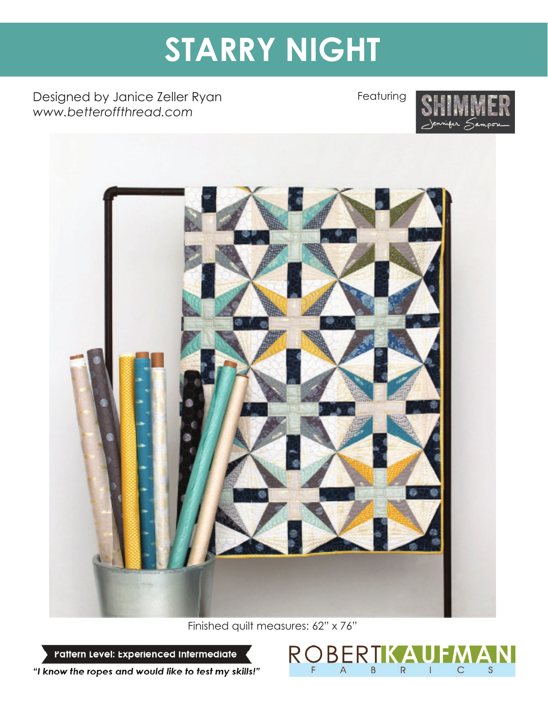# **STARRY NIGHT**

Designed by Janice Zeller Ryan *www.betteroffthread.com*

Featuring





Finished quilt measures: 62" x 76"

ROBE

 $\mathsf A$ 

F

A

 $\overline{1}$ 

 $\mathsf{C}$ 

S

 $\mathsf R$ 

IK

 $\overline{B}$ 

Pattern Level: Experienced Intermediate

"I know the ropes and would like to test my skills!"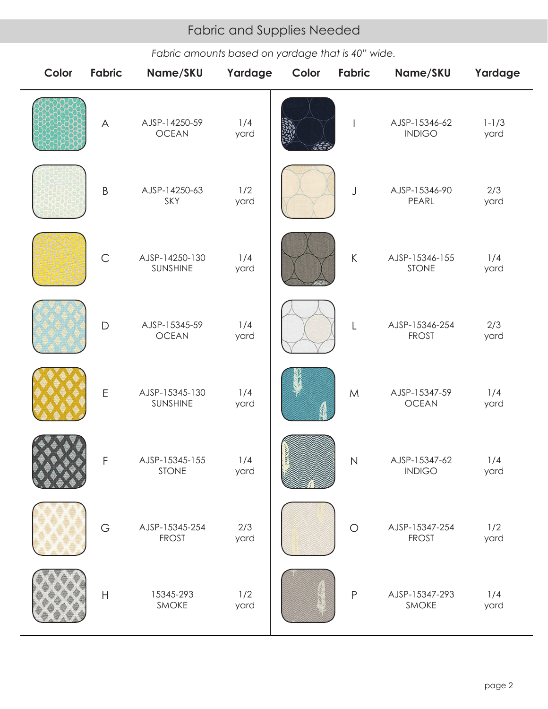# Fabric and Supplies Needed Fabric and Supplies Needed

*Fabric amounts based on yardage that is 40" wide.*

| Color | <b>Fabric</b> | Name/SKU                       | Yardage     | Color | Fabric        | Name/SKU                       | Yardage           |
|-------|---------------|--------------------------------|-------------|-------|---------------|--------------------------------|-------------------|
|       | $\bigwedge$   | AJSP-14250-59<br><b>OCEAN</b>  | 1/4<br>yard |       |               | AJSP-15346-62<br><b>INDIGO</b> | $1 - 1/3$<br>yard |
|       | $\sf B$       | AJSP-14250-63<br>SKY           | 1/2<br>yard |       | J             | AJSP-15346-90<br>PEARL         | 2/3<br>yard       |
|       | $\mathsf C$   | AJSP-14250-130<br>SUNSHINE     | 1/4<br>yard |       | $\sf K$       | AJSP-15346-155<br><b>STONE</b> | 1/4<br>yard       |
|       | $\mathsf{D}$  | AJSP-15345-59<br><b>OCEAN</b>  | 1/4<br>yard |       | $\mathsf{L}%$ | AJSP-15346-254<br><b>FROST</b> | 2/3<br>yard       |
|       | E             | AJSP-15345-130<br>SUNSHINE     | 1/4<br>yard |       | ${\sf M}$     | AJSP-15347-59<br><b>OCEAN</b>  | 1/4<br>yard       |
|       | $\mathsf F$   | AJSP-15345-155<br><b>STONE</b> | 1/4<br>yard |       | N             | AJSP-15347-62<br><b>INDIGO</b> | 1/4<br>yard       |
|       | G             | AJSP-15345-254<br><b>FROST</b> | 2/3<br>yard |       | $\bigcirc$    | AJSP-15347-254<br><b>FROST</b> | 1/2<br>yard       |
|       | $\mathsf H$   | 15345-293<br>SMOKE             | 1/2<br>yard |       | P             | AJSP-15347-293<br>SMOKE        | 1/4<br>yard       |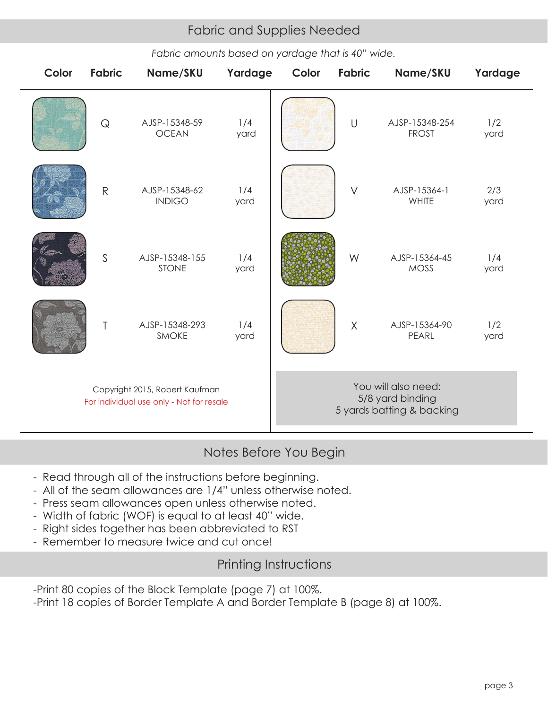# Fabric and Supplies Needed Fabric and Supplies Needed

*Fabric amounts based on yardage that is 40" wide.*

| Color                                                                      | <b>Fabric</b> | Name/SKU                       | Yardage     | Color                                                                | <b>Fabric</b> | Name/SKU                       | Yardage     |  |
|----------------------------------------------------------------------------|---------------|--------------------------------|-------------|----------------------------------------------------------------------|---------------|--------------------------------|-------------|--|
|                                                                            | $\mathsf{Q}$  | AJSP-15348-59<br><b>OCEAN</b>  | 1/4<br>yard |                                                                      | $\cup$        | AJSP-15348-254<br><b>FROST</b> | 1/2<br>yard |  |
|                                                                            | ${\sf R}$     | AJSP-15348-62<br><b>INDIGO</b> | 1/4<br>yard |                                                                      | $\vee$        | AJSP-15364-1<br>WHITE          | 2/3<br>yard |  |
|                                                                            | $\mathsf{S}$  | AJSP-15348-155<br><b>STONE</b> | 1/4<br>yard |                                                                      | W             | AJSP-15364-45<br><b>MOSS</b>   | 1/4<br>yard |  |
|                                                                            | T             | AJSP-15348-293<br>SMOKE        | 1/4<br>yard |                                                                      | $\sf X$       | AJSP-15364-90<br>PEARL         | 1/2<br>yard |  |
| Copyright 2015, Robert Kaufman<br>For individual use only - Not for resale |               |                                |             | You will also need:<br>5/8 yard binding<br>5 yards batting & backing |               |                                |             |  |

# Notes Before You Begin

- Read through all of the instructions before beginning.
- All of the seam allowances are 1/4" unless otherwise noted.
- Press seam allowances open unless otherwise noted.
- Width of fabric (WOF) is equal to at least 40" wide.
- Right sides together has been abbreviated to RST
- Remember to measure twice and cut once!

## Printing Instructions

-Print 80 copies of the Block Template (page 7) at 100%.

-Print 18 copies of Border Template A and Border Template B (page 8) at 100%.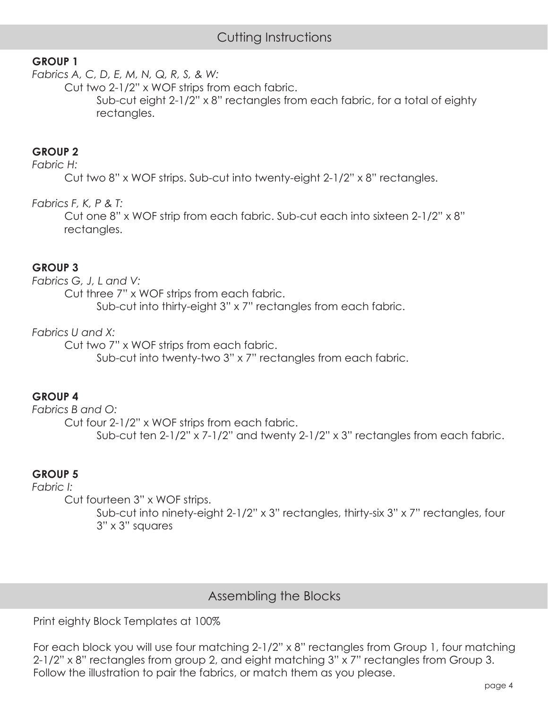## **GROUP 1**

*Fabrics A, C, D, E, M, N, Q, R, S, & W:* 

Cut two 2-1/2" x WOF strips from each fabric.

 Sub-cut eight 2-1/2" x 8" rectangles from each fabric, for a total of eighty rectangles.

#### **GROUP 2**

#### *Fabric H:*

Cut two 8" x WOF strips. Sub-cut into twenty-eight 2-1/2" x 8" rectangles.

*Fabrics F, K, P & T:* 

 Cut one 8" x WOF strip from each fabric. Sub-cut each into sixteen 2-1/2" x 8" rectangles.

#### **GROUP 3**

*Fabrics G, J, L and V:* 

Cut three 7" x WOF strips from each fabric.

Sub-cut into thirty-eight 3" x 7" rectangles from each fabric.

#### *Fabrics U and X:*

Cut two 7" x WOF strips from each fabric.

Sub-cut into twenty-two 3" x 7" rectangles from each fabric.

## **GROUP 4**

*Fabrics B and O:* Cut four 2-1/2" x WOF strips from each fabric. Sub-cut ten 2-1/2" x 7-1/2" and twenty 2-1/2" x 3" rectangles from each fabric.

#### **GROUP 5**

*Fabric I:*

Cut fourteen 3" x WOF strips.

 Sub-cut into ninety-eight 2-1/2" x 3" rectangles, thirty-six 3" x 7" rectangles, four 3" x 3" squares

## Assembling the Blocks

Print eighty Block Templates at 100%

For each block you will use four matching 2-1/2" x 8" rectangles from Group 1, four matching 2-1/2" x 8" rectangles from group 2, and eight matching 3" x 7" rectangles from Group 3. Follow the illustration to pair the fabrics, or match them as you please.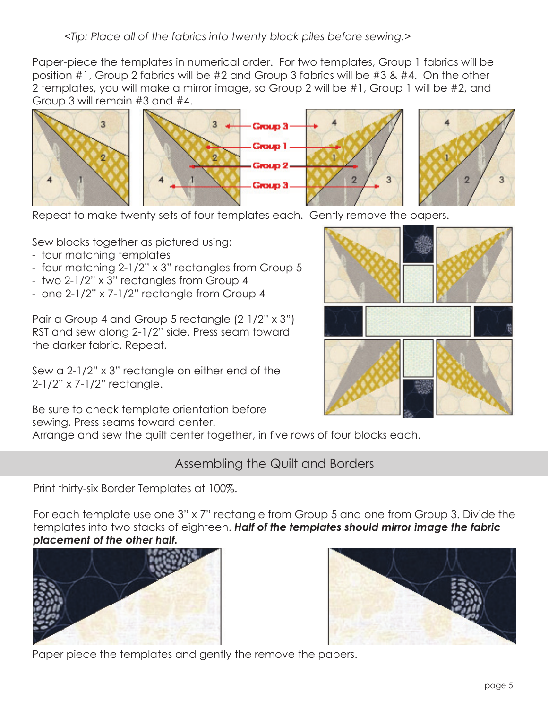Paper-piece the templates in numerical order. For two templates, Group 1 fabrics will be position #1, Group 2 fabrics will be #2 and Group 3 fabrics will be #3 & #4. On the other 2 templates, you will make a mirror image, so Group 2 will be #1, Group 1 will be #2, and Group 3 will remain #3 and #4.



Repeat to make twenty sets of four templates each. Gently remove the papers.

Sew blocks together as pictured using:

- four matching templates
- four matching 2-1/2" x 3" rectangles from Group 5
- two 2-1/2" x 3" rectangles from Group 4
- one 2-1/2" x 7-1/2" rectangle from Group 4

Pair a Group 4 and Group 5 rectangle (2-1/2" x 3") RST and sew along 2-1/2" side. Press seam toward the darker fabric. Repeat.

Sew a 2-1/2" x 3" rectangle on either end of the 2-1/2" x 7-1/2" rectangle.

Be sure to check template orientation before sewing. Press seams toward center.

Arrange and sew the quilt center together, in five rows of four blocks each.

## Assembling the Quilt and Borders

Print thirty-six Border Templates at 100%.

For each template use one 3" x 7" rectangle from Group 5 and one from Group 3. Divide the templates into two stacks of eighteen. *Half of the templates should mirror image the fabric placement of the other half.* 





Paper piece the templates and gently the remove the papers.

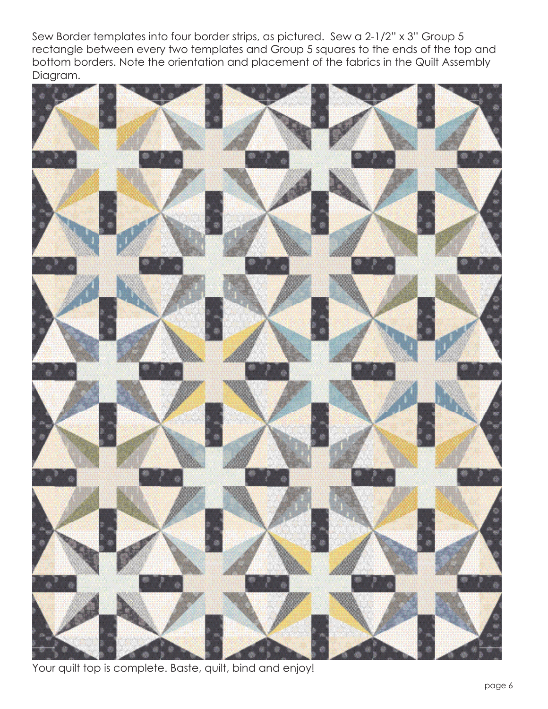Sew Border templates into four border strips, as pictured. Sew a 2-1/2" x 3" Group 5 rectangle between every two templates and Group 5 squares to the ends of the top and bottom borders. Note the orientation and placement of the fabrics in the Quilt Assembly Diagram.



Your quilt top is complete. Baste, quilt, bind and enjoy!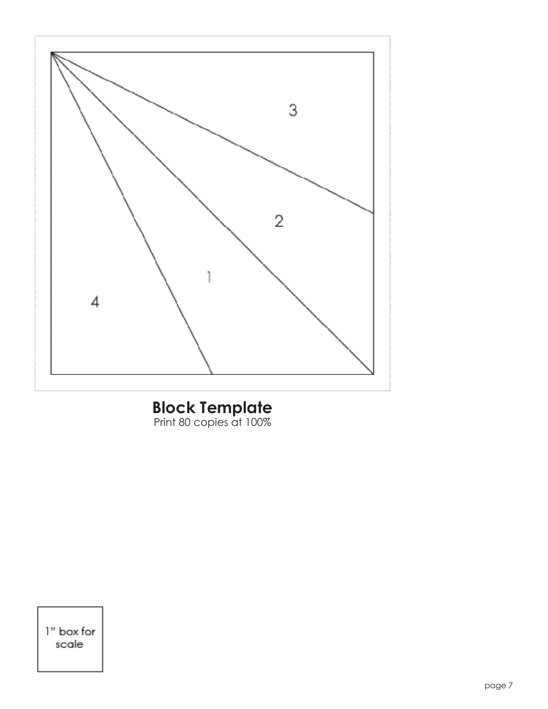

## **Block Template** Print 80 copies at 100%

1" box for scale